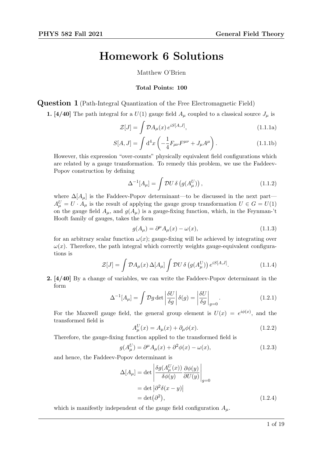# Homework 6 Solutions

Matthew O'Brien

#### Total Points: 100

Question 1 (Path-Integral Quantization of the Free Electromagnetic Field)

1. [4/40] The path integral for a  $U(1)$  gauge field  $A_\mu$  coupled to a classical source  $J_\mu$  is

$$
\mathcal{Z}[J] = \int \mathcal{D}A_{\mu}(x) e^{iS[A,J]}, \qquad (1.1.1a)
$$

$$
S[A, J] = \int d^4x \left( -\frac{1}{4} F_{\mu\nu} F^{\mu\nu} + J_{\mu} A^{\mu} \right). \tag{1.1.1b}
$$

However, this expression "over-counts" physically equivalent field configurations which are related by a gauge transformation. To remedy this problem, we use the Faddeev-Popov construction by defining

$$
\Delta^{-1}[A_{\mu}] = \int \mathcal{D}U \,\delta\left(g(A_{\mu}^U)\right),\tag{1.1.2}
$$

where  $\Delta[A_\mu]$  is the Faddeev-Popov determinant—to be discussed in the next part—  $A^U_\mu = U \cdot A_\mu$  is the result of applying the gauge group transformation  $U \in G = U(1)$ on the gauge field  $A_{\mu}$ , and  $g(A_{\mu})$  is a gauge-fixing function, which, in the Feynman-'t Hooft family of gauges, takes the form

$$
g(A_{\mu}) = \partial^{\mu} A_{\mu}(x) - \omega(x), \qquad (1.1.3)
$$

for an arbitrary scalar function  $\omega(x)$ ; gauge-fixing will be achieved by integrating over  $\omega(x)$ . Therefore, the path integral which correctly weights gauge-equivalent configurations is

$$
\mathcal{Z}[J] = \int \mathcal{D}A_{\mu}(x) \,\Delta[A_{\mu}] \int \mathcal{D}U \,\delta\left(g(A_{\mu}^{U})\right) e^{iS[A,J]}.\tag{1.1.4}
$$

2. [4/40] By a change of variables, we can write the Faddeev-Popov determinant in the form

$$
\Delta^{-1}[A_{\mu}] = \int \mathcal{D}g \det \left| \frac{\delta U}{\delta g} \right| \delta(g) = \left| \frac{\delta U}{\delta g} \right|_{g=0}.
$$
 (1.2.1)

For the Maxwell gauge field, the general group element is  $U(x) = e^{i\phi(x)}$ , and the transformed field is

<span id="page-0-0"></span>
$$
A_{\mu}^{U}(x) = A_{\mu}(x) + \partial_{\mu}\phi(x). \qquad (1.2.2)
$$

Therefore, the gauge-fixing function applied to the transformed field is

$$
g(A^U_\mu) = \partial^\mu A_\mu(x) + \partial^2 \phi(x) - \omega(x),\tag{1.2.3}
$$

and hence, the Faddeev-Popov determinant is

$$
\Delta[A_{\mu}] = \det \left| \frac{\delta g(A_{\mu}^{U}(x))}{\delta \phi(y)} \frac{\partial \phi(y)}{\partial U(y)} \right|_{g=0}
$$
  
= det  $|\partial^2 \delta(x - y)|$   
= det  $(\partial^2)$ , (1.2.4)

which is manifestly independent of the gauge field configuration  $A_{\mu}$ .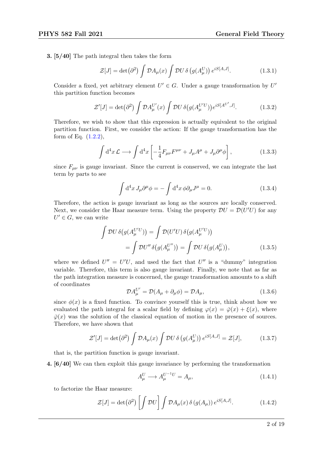3. [5/40] The path integral then takes the form

$$
\mathcal{Z}[J] = \det(\partial^2) \int \mathcal{D}A_\mu(x) \int \mathcal{D}U \,\delta\left(g(A_\mu^U)\right) e^{iS[A,J]}.\tag{1.3.1}
$$

Consider a fixed, yet arbitrary element  $U' \in G$ . Under a gauge transformation by  $U'$ this partition function becomes

$$
\mathcal{Z}'[J] = \det(\partial^2) \int \mathcal{D}A_{\mu}^{U'}(x) \int \mathcal{D}U \,\delta\big(g(A_{\mu}^{U'U})\big) e^{iS[A^{U'},J]}.\tag{1.3.2}
$$

Therefore, we wish to show that this expression is actually equivalent to the original partition function. First, we consider the action: If the gauge transformation has the form of Eq.  $(1.2.2)$ ,

$$
\int d^4x \mathcal{L} \longrightarrow \int d^4x \left[ -\frac{1}{4} F_{\mu\nu} F^{\mu\nu} + J_{\mu} A^{\mu} + J_{\mu} \partial^{\mu} \phi \right], \tag{1.3.3}
$$

since  $F_{\mu\nu}$  is gauge invariant. Since the current is conserved, we can integrate the last term by parts to see

$$
\int d^4x J_\mu \partial^\mu \phi = -\int d^4x \phi \partial_\mu J^\mu = 0. \qquad (1.3.4)
$$

Therefore, the action is gauge invariant as long as the sources are locally conserved. Next, we consider the Haar measure term. Using the property  $\mathcal{D}U = \mathcal{D}(U'U)$  for any  $U' \in G$ , we can write

$$
\int \mathcal{D}U \,\delta\big(g(A_{\mu}^{U'U})\big) = \int \mathcal{D}(U'U) \,\delta\big(g(A_{\mu}^{U'U})\big)
$$
\n
$$
= \int \mathcal{D}U'' \,\delta\big(g(A_{\mu}^{U''})\big) = \int \mathcal{D}U \,\delta\big(g(A_{\mu}^{U})\big),\tag{1.3.5}
$$

where we defined  $U'' = U'U$ , and used the fact that  $U''$  is a "dummy" integration variable. Therefore, this term is also gauge invariant. Finally, we note that as far as the path integration measure is concerned, the gauge transformation amounts to a shift of coordinates

$$
\mathcal{D}A_{\mu}^{U'} = \mathcal{D}(A_{\mu} + \partial_{\mu}\phi) = \mathcal{D}A_{\mu},\tag{1.3.6}
$$

since  $\phi(x)$  is a fixed function. To convince yourself this is true, think about how we evaluated the path integral for a scalar field by defining  $\varphi(x) = \overline{\varphi}(x) + \xi(x)$ , where  $\overline{\varphi}(x)$  was the solution of the classical equation of motion in the presence of sources. Therefore, we have shown that

$$
\mathcal{Z}'[J] = \det(\partial^2) \int \mathcal{D}A_\mu(x) \int \mathcal{D}U \,\delta\left(g(A_\mu^U)\right) e^{iS[A,J]} = \mathcal{Z}[J],\tag{1.3.7}
$$

that is, the partition function is gauge invariant.

4. [6/40] We can then exploit this gauge invariance by performing the transformation

$$
A_{\mu}^{U} \longrightarrow A_{\mu}^{U^{-1}U} = A_{\mu}, \qquad (1.4.1)
$$

to factorize the Haar measure:

$$
\mathcal{Z}[J] = \det(\partial^2) \left[ \int \mathcal{D}U \right] \int \mathcal{D}A_\mu(x) \, \delta(g(A_\mu)) \, e^{iS[A,J]}.\n\tag{1.4.2}
$$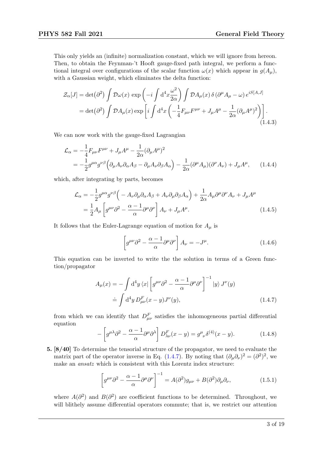This only yields an (infinite) normalization constant, which we will ignore from hereon. Then, to obtain the Feynman-'t Hooft gauge-fixed path integral, we perform a functional integral over configurations of the scalar function  $\omega(x)$  which appear in  $g(A_u)$ , with a Gaussian weight, which eliminates the delta function:

$$
\mathcal{Z}_{\alpha}[J] = \det(\partial^2) \int \mathcal{D}\omega(x) \exp\left(-i \int d^4x \frac{\omega^2}{2\alpha}\right) \int \mathcal{D}A_{\mu}(x) \delta\left(\partial^{\mu}A_{\mu} - \omega\right) e^{iS[A,J]}
$$

$$
= \det(\partial^2) \int \mathcal{D}A_{\mu}(x) \exp\left[i \int d^4x \left(-\frac{1}{4}F_{\mu\nu}F^{\mu\nu} + J_{\mu}A^{\mu} - \frac{1}{2\alpha}(\partial_{\mu}A^{\mu})^2\right)\right]. \tag{1.4.3}
$$

We can now work with the gauge-fixed Lagrangian

$$
\mathcal{L}_{\alpha} = -\frac{1}{4} F_{\mu\nu} F^{\mu\nu} + J_{\mu} A^{\mu} - \frac{1}{2\alpha} (\partial_{\mu} A^{\mu})^2
$$
  
= 
$$
-\frac{1}{2} g^{\mu\alpha} g^{\nu\beta} \Big( \partial_{\mu} A_{\nu} \partial_{\alpha} A_{\beta} - \partial_{\mu} A_{\nu} \partial_{\beta} A_{\alpha} \Big) - \frac{1}{2\alpha} (\partial^{\mu} A_{\mu}) (\partial^{\nu} A_{\nu}) + J_{\mu} A^{\mu}, \qquad (1.4.4)
$$

which, after integrating by parts, becomes

$$
\mathcal{L}_{\alpha} = -\frac{1}{2} g^{\mu \alpha} g^{\nu \beta} \left( -A_{\nu} \partial_{\mu} \partial_{\alpha} A_{\beta} + A_{\nu} \partial_{\mu} \partial_{\beta} A_{\alpha} \right) + \frac{1}{2\alpha} A_{\mu} \partial^{\mu} \partial^{\nu} A_{\nu} + J_{\mu} A^{\mu}
$$

$$
= \frac{1}{2} A_{\mu} \left[ g^{\mu \nu} \partial^2 - \frac{\alpha - 1}{\alpha} \partial^{\mu} \partial^{\nu} \right] A_{\nu} + J_{\mu} A^{\mu}.
$$
(1.4.5)

It follows that the Euler-Lagrange equation of motion for  $A_\mu$  is

<span id="page-2-0"></span>
$$
\left[g^{\mu\nu}\partial^2 - \frac{\alpha - 1}{\alpha}\partial^{\mu}\partial^{\nu}\right]A_{\nu} = -J^{\mu}.
$$
 (1.4.6)

This equation can be inverted to write the the solution in terms of a Green function/propagator

$$
A_{\mu}(x) = -\int d^4y \langle x | \left[ g^{\mu\nu} \partial^2 - \frac{\alpha - 1}{\alpha} \partial^{\mu} \partial^{\nu} \right]^{-1} |y \rangle J^{\nu}(y)
$$
  

$$
\doteq \int d^4y \, D^F_{\mu\nu}(x - y) J^{\nu}(y), \tag{1.4.7}
$$

from which we can identify that  $D_{\mu\nu}^F$  satisfies the inhomogeneous partial differential equation

$$
-\left[g^{\mu\lambda}\partial^2 - \frac{\alpha - 1}{\alpha}\partial^{\mu}\partial^{\lambda}\right]D^{F}_{\lambda\nu}(x - y) = g^{\mu}_{\ \nu}\delta^{(4)}(x - y). \tag{1.4.8}
$$

5. [8/40] To determine the tensorial structure of the propagator, we need to evaluate the matrix part of the operator inverse in Eq. [\(1.4.7\)](#page-2-0). By noting that  $(\partial_{\mu}\partial_{\nu})^2 = (\partial^2)^2$ , we make an ansatz which is consistent with this Lorentz index structure:

$$
\left[g^{\mu\nu}\partial^2 - \frac{\alpha - 1}{\alpha}\partial^{\mu}\partial^{\nu}\right]^{-1} = A(\partial^2)g_{\mu\nu} + B(\partial^2)\partial_{\mu}\partial_{\nu},\tag{1.5.1}
$$

where  $A(\partial^2)$  and  $B(\partial^2)$  are coefficient functions to be determined. Throughout, we will blithely assume differential operators commute; that is, we restrict our attention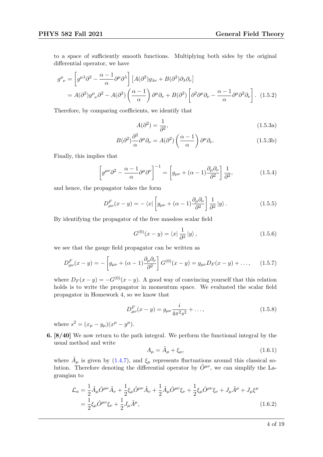to a space of sufficiently smooth functions. Multiplying both sides by the original differential operator, we have

$$
g^{\mu}_{\ \nu} = \left[ g^{\mu\lambda} \partial^2 - \frac{\alpha - 1}{\alpha} \partial^{\mu} \partial^{\lambda} \right] \left[ A(\partial^2) g_{\lambda\nu} + B(\partial^2) \partial_{\lambda} \partial_{\nu} \right]
$$
  
=  $A(\partial^2) g^{\mu}_{\ \nu} \partial^2 - A(\partial^2) \left( \frac{\alpha - 1}{\alpha} \right) \partial^{\mu} \partial_{\nu} + B(\partial^2) \left[ \partial^2 \partial^{\mu} \partial_{\nu} - \frac{\alpha - 1}{\alpha} \partial^{\mu} \partial^2 \partial_{\nu} \right].$  (1.5.2)

Therefore, by comparing coefficients, we identify that

$$
A(\partial^2) = \frac{1}{\partial^2},\tag{1.5.3a}
$$

$$
B(\partial^2)\frac{\partial^2}{\alpha}\partial^\mu\partial_\nu = A(\partial^2)\left(\frac{\alpha-1}{\alpha}\right)\partial^\mu\partial_\nu.
$$
 (1.5.3b)

Finally, this implies that

$$
\left[g^{\mu\nu}\partial^2 - \frac{\alpha - 1}{\alpha}\partial^{\mu}\partial^{\nu}\right]^{-1} = \left[g_{\mu\nu} + (\alpha - 1)\frac{\partial_{\mu}\partial_{\nu}}{\partial^2}\right]\frac{1}{\partial^2},\tag{1.5.4}
$$

and hence, the propagator takes the form

$$
D_{\mu\nu}^{F}(x-y) = -\langle x \vert \left[ g_{\mu\nu} + (\alpha - 1) \frac{\partial_{\mu} \partial_{\nu}}{\partial^{2}} \right] \frac{1}{\partial^{2}} \vert y \rangle. \tag{1.5.5}
$$

By identifying the propagator of the free massless scalar field

$$
G^{(0)}(x-y) = \langle x | \frac{1}{\partial^2} | y \rangle, \qquad (1.5.6)
$$

we see that the gauge field propagator can be written as

<span id="page-3-0"></span>
$$
D_{\mu\nu}^{F}(x-y) = -\left[g_{\mu\nu} + (\alpha - 1)\frac{\partial_{\mu}\partial_{\nu}}{\partial^{2}}\right]G^{(0)}(x-y) = g_{\mu\nu}D_{F}(x-y) + ..., \quad (1.5.7)
$$

where  $D_F(x-y) = -G^{(0)}(x-y)$ . A good way of convincing yourself that this relation holds is to write the propagator in momentum space. We evaluated the scalar field propagator in Homework 4, so we know that

$$
D_{\mu\nu}^{F}(x-y) = g_{\mu\nu}\frac{i}{4\pi^{2}s^{2}} + \dots,
$$
\n(1.5.8)

where  $s^2 = (x_\mu - y_\mu)(x^\mu - y^\mu)$ .

6. [8/40] We now return to the path integral. We perform the functional integral by the usual method and write

$$
A_{\mu} = \tilde{A}_{\mu} + \xi_{\mu},\tag{1.6.1}
$$

where  $\tilde{A}_{\mu}$  is given by [\(1.4.7\)](#page-2-0), and  $\xi_{\mu}$  represents fluctuations around this classical solution. Therefore denoting the differential operator by  $\hat{O}^{\mu\nu}$ , we can simplify the Lagrangian to

$$
\mathcal{L}_{\alpha} = \frac{1}{2} \tilde{A}_{\mu} \hat{O}^{\mu \nu} \tilde{A}_{\nu} + \frac{1}{2} \xi_{\mu} \hat{O}^{\mu \nu} \tilde{A}_{\nu} + \frac{1}{2} \tilde{A}_{\mu} \hat{O}^{\mu \nu} \xi_{\nu} + \frac{1}{2} \xi_{\mu} \hat{O}^{\mu \nu} \xi_{\nu} + J_{\mu} \tilde{A}^{\mu} + J_{\mu} \xi^{\mu} \n= \frac{1}{2} \xi_{\mu} \hat{O}^{\mu \nu} \xi_{\nu} + \frac{1}{2} J_{\mu} \tilde{A}^{\mu},
$$
\n(1.6.2)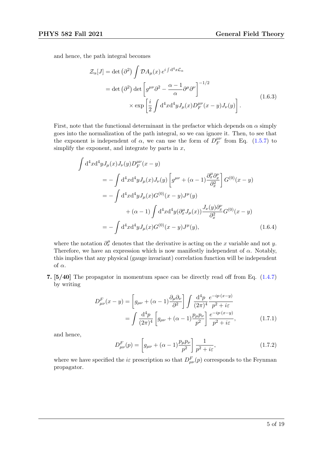and hence, the path integral becomes

$$
\mathcal{Z}_{\alpha}[J] = \det (\partial^2) \int \mathcal{D}A_{\mu}(x) e^{i \int d^4 x \mathcal{L}_{\alpha}} \n= \det (\partial^2) \det \left[ g^{\mu\nu} \partial^2 - \frac{\alpha - 1}{\alpha} \partial^{\mu} \partial^{\nu} \right]^{-1/2} \n\times \exp \left[ \frac{i}{2} \int d^4 x d^4 y J_{\mu}(x) D^{\mu\nu}_F(x - y) J_{\nu}(y) \right].
$$
\n(1.6.3)

First, note that the functional determinant in the prefactor which depends on  $\alpha$  simply goes into the normalization of the path integral, so we can ignore it. Then, to see that the exponent is independent of  $\alpha$ , we can use the form of  $D_F^{\mu\nu}$  $_{F}^{\mu\nu}$  from Eq. [\(1.5.7\)](#page-3-0) to simplify the exponent, and integrate by parts in  $x$ ,

$$
\int d^4x d^4y J_\mu(x) J_\nu(y) D_F^{\mu\nu}(x - y)
$$
  
=  $-\int d^4x d^4y J_\mu(x) J_\nu(y) \left[ g^{\mu\nu} + (\alpha - 1) \frac{\partial_x^{\mu} \partial_x^{\nu}}{\partial_x^2} \right] G^{(0)}(x - y)$   
=  $-\int d^4x d^4y J_\mu(x) G^{(0)}(x - y) J^\mu(y)$   
+  $(\alpha - 1) \int d^4x d^4y (\partial_x^{\mu} J_\mu(x)) \frac{J_\nu(y) \partial_x^{\nu}}{\partial_x^2} G^{(0)}(x - y)$   
=  $-\int d^4x d^4y J_\mu(x) G^{(0)}(x - y) J^\mu(y),$  (1.6.4)

where the notation  $\partial_x^{\mu}$  denotes that the derivative is acting on the x variable and not y. Therefore, we have an expression which is now manifestly independent of  $\alpha$ . Notably, this implies that any physical (gauge invariant) correlation function will be independent of  $\alpha$ .

7. [5/40] The propagator in momentum space can be directly read off from Eq. [\(1.4.7\)](#page-2-0) by writing

$$
D_{\mu\nu}^{F}(x-y) = \left[g_{\mu\nu} + (\alpha - 1)\frac{\partial_{\mu}\partial_{\nu}}{\partial^{2}}\right] \int \frac{\mathrm{d}^{4}p}{(2\pi)^{4}} \frac{e^{-ip\cdot(x-y)}}{p^{2} + i\varepsilon}
$$

$$
= \int \frac{\mathrm{d}^{4}p}{(2\pi)^{4}} \left[g_{\mu\nu} + (\alpha - 1)\frac{p_{\mu}p_{\nu}}{p^{2}}\right] \frac{e^{-ip\cdot(x-y)}}{p^{2} + i\varepsilon}, \tag{1.7.1}
$$

and hence,

$$
D_{\mu\nu}^{F}(p) = \left[ g_{\mu\nu} + (\alpha - 1) \frac{p_{\mu} p_{\nu}}{p^2} \right] \frac{1}{p^2 + i\varepsilon},
$$
\n(1.7.2)

where we have specified the *iε* prescription so that  $D_{\mu\nu}^{F}(p)$  corresponds to the Feynman propagator.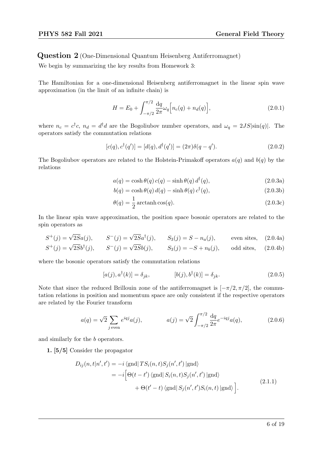Question 2 (One-Dimensional Quantum Heisenberg Antiferromagnet)

We begin by summarizing the key results from Homework 3:

The Hamiltonian for a one-dimensional Heisenberg antiferromagnet in the linear spin wave approximation (in the limit of an infinite chain) is

$$
H = E_0 + \int_{-\pi/2}^{\pi/2} \frac{\mathrm{d}q}{2\pi} \omega_q \Big[ n_c(q) + n_d(q) \Big], \tag{2.0.1}
$$

where  $n_c = c^{\dagger}c$ ,  $n_d = d^{\dagger}d$  are the Bogoliubov number operators, and  $\omega_q = 2JS|\sin(q)|$ . The operators satisfy the commutation relations

$$
[c(q), c\dagger(q')] = [d(q), d\dagger(q')] = (2\pi)\delta(q - q'). \qquad (2.0.2)
$$

The Bogoliubov operators are related to the Holstein-Primakoff operators  $a(q)$  and  $b(q)$  by the relations

$$
a(q) = \cosh \theta(q) c(q) - \sinh \theta(q) d^{\dagger}(q), \qquad (2.0.3a)
$$

$$
b(q) = \cosh \theta(q) d(q) - \sinh \theta(q) c^{\dagger}(q), \qquad (2.0.3b)
$$

$$
\theta(q) = \frac{1}{2} \arctanh \cos(q). \tag{2.0.3c}
$$

In the linear spin wave approximation, the position space bosonic operators are related to the spin operators as

$$
S^+(j) = \sqrt{2S}a(j)
$$
,  $S^-(j) = \sqrt{2S}a^{\dagger}(j)$ ,  $S_3(j) = S - n_a(j)$ , even sites, (2.0.4a)

$$
S^{+}(j) = \sqrt{2S}b^{\dagger}(j), \qquad S^{-}(j) = \sqrt{2S}b(j), \qquad S_{3}(j) = -S + n_{b}(j), \qquad \text{odd sites,} \tag{2.0.4b}
$$

where the bosonic operators satisfy the commutation relations

$$
[a(j), a^{\dagger}(k)] = \delta_{jk}, \qquad [b(j), b^{\dagger}(k)] = \delta_{jk}. \qquad (2.0.5)
$$

Note that since the reduced Brillouin zone of the antiferromagnet is  $[-\pi/2, \pi/2]$ , the commutation relations in position and momentum space are only consistent if the respective operators are related by the Fourier transform

$$
a(q) = \sqrt{2} \sum_{j \text{ even}} e^{iqj} a(j), \qquad a(j) = \sqrt{2} \int_{-\pi/2}^{\pi/2} \frac{dq}{2\pi} e^{-iqj} a(q), \qquad (2.0.6)
$$

and similarly for the b operators.

1. [5/5] Consider the propagator

$$
D_{ij}(n, t|n', t') = -i \langle \text{gnd} | TS_i(n, t)S_j(n', t') | \text{gnd} \rangle
$$
  
= 
$$
-i \Big[ \Theta(t - t') \langle \text{gnd} | S_i(n, t)S_j(n', t') | \text{gnd} \rangle
$$
  
+ 
$$
\Theta(t' - t) \langle \text{gnd} | S_j(n', t')S_i(n, t) | \text{gnd} \rangle \Big].
$$
 (2.1.1)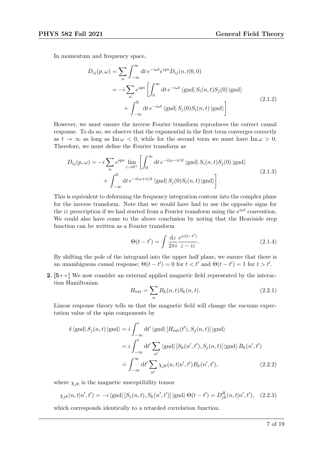In momentum and frequency space,

$$
D_{ij}(p,\omega) = \sum_{n} \int_{-\infty}^{\infty} dt \, e^{-i\omega t} e^{iqn} D_{ij}(n,t|0,0)
$$
  

$$
= -i \sum_{n} e^{iqn} \left[ \int_{0}^{\infty} dt \, e^{-i\omega t} \langle \text{gnd} | S_{i}(n,t) S_{j}(0) | \text{gnd} \rangle \right]
$$
  

$$
+ \int_{-\infty}^{0} dt \, e^{-i\omega t} \langle \text{gnd} | S_{j}(0) S_{i}(n,t) | \text{gnd} \rangle \right]
$$
(2.1.2)

However, we must ensure the inverse Fourier transform reproduces the correct causal response. To do so, we observe that the exponential in the first term converges correctly as  $t \to \infty$  as long as Im  $\omega < 0$ , while for the second term we must have Im  $\omega > 0$ . Therefore, we must define the Fourier transform as

$$
D_{ij}(p,\omega) = -i \sum_{n} e^{iqn} \lim_{\varepsilon \to 0^{+}} \left[ \int_{0}^{\infty} dt \, e^{-i(\omega - i\varepsilon)t} \, \langle \text{gnd} | S_{i}(n,t) S_{j}(0) | \text{gnd} \rangle \right] + \int_{-\infty}^{0} dt \, e^{-i(\omega + i\varepsilon)t} \, \langle \text{gnd} | S_{j}(0) S_{i}(n,t) | \text{gnd} \rangle \right].
$$
\n(2.1.3)

This is equivalent to deforming the frequency integration contour into the complex plane for the inverse transform. Note that we would have had to use the opposite signs for the *i* $\varepsilon$  prescription if we had started from a Fourier transform using the  $e^{i\omega t}$  convention. We could also have come to the above conclusion by noting that the Heaviside step function can be written as a Fourier transform

$$
\Theta(t - t') = \int \frac{\mathrm{d}z}{2\pi i} \frac{e^{iz(t - t')}}{z - i\varepsilon}.
$$
\n(2.1.4)

By shifting the pole of the integrand into the upper half plane, we ensure that there is an unambiguous causal response;  $\Theta(t-t') = 0$  for  $t < t'$  and  $\Theta(t-t') = 1$  for  $t > t'$ .

**2.**  $[5++]$  We now consider an external applied magnetic field represented by the interaction Hamiltonian

$$
H_{\text{ext}} = \sum_{n} B_k(n, t) S_k(n, t).
$$
 (2.2.1)

Linear response theory tells us that the magnetic field will change the vacuum expectation value of the spin components by

$$
\delta \langle \text{gnd} | S_j(n, t) | \text{gnd} \rangle = i \int_{-\infty}^t dt' \langle \text{gnd} | [H_{\text{ext}}(t'), S_j(n, t)] | \text{gnd} \rangle
$$
  

$$
= i \int_{-\infty}^t dt' \sum_{n'} \langle \text{gnd} | [S_k(n', t'), S_j(n, t)] | \text{gnd} \rangle B_k(n', t')
$$
  

$$
\doteq \int_{-\infty}^{\infty} dt' \sum_{n'} \chi_{jk}(n, t | n', t') B_k(n', t'), \qquad (2.2.2)
$$

where  $\chi_{ik}$  is the magnetic susceptibility tensor

$$
\chi_{jk}(n, t|n', t') = -i \langle \text{gnd} | [S_j(n, t), S_k(n', t')] | \text{gnd} \rangle \Theta(t - t') = D_{jk}^R(n, t|n', t'), \quad (2.2.3)
$$

which corresponds identically to a retarded correlation function.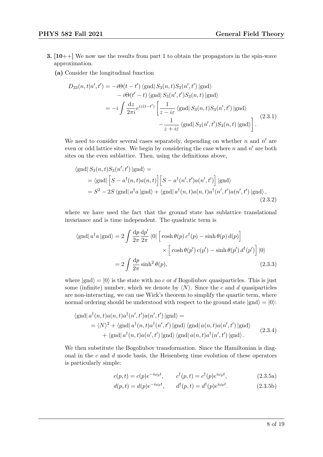- **3.** [10++] We now use the results from part 1 to obtain the propagators in the spin-wave approximation.
	- (a) Consider the longitudinal function

$$
D_{33}(n, t|n', t') = -i\Theta(t - t') \langle \text{gnd} | S_3(n, t) S_3(n', t') | \text{gnd} \rangle
$$
  
\n
$$
-i\Theta(t' - t) \langle \text{gnd} | S_3(n', t') S_3(n, t) | \text{gnd} \rangle
$$
  
\n
$$
= -i \int \frac{dz}{2\pi i} e^{iz(t - t')} \left[ \frac{1}{z - i\varepsilon} \langle \text{gnd} | S_3(n, t) S_3(n', t') | \text{gnd} \rangle - \frac{1}{z + i\varepsilon} \langle \text{gnd} | S_3(n', t') S_3(n, t) | \text{gnd} \rangle \right].
$$
\n(2.3.1)

We need to consider several cases separately, depending on whether  $n$  and  $n'$  are even or odd lattice sites. We begin by considering the case where  $n$  and  $n'$  are both sites on the even sublattice. Then, using the definitions above,

$$
\langle \text{gnd} | S_3(n, t) S_3(n', t') | \text{gnd} \rangle =
$$
  
= 
$$
\langle \text{gnd} | \left[ S - a^{\dagger}(n, t) a(n, t) \right] \left[ S - a^{\dagger}(n', t') a(n', t') \right] | \text{gnd} \rangle
$$
  
= 
$$
S^2 - 2S \langle \text{gnd} | a^{\dagger} a | \text{gnd} \rangle + \langle \text{gnd} | a^{\dagger}(n, t) a(n, t) a^{\dagger}(n', t') a(n', t') | \text{gnd} \rangle,
$$
  
(2.3.2)

where we have used the fact that the ground state has sublattice translational invariance and is time independent. The quadratic term is

$$
\langle \text{gnd} | a^{\dagger} a | \text{gnd} \rangle = 2 \int \frac{dp}{2\pi} \frac{dp'}{2\pi} \langle 0 | \left[ \cosh \theta(p) c^{\dagger}(p) - \sinh \theta(p) d(p) \right] \times \left[ \cosh \theta(p') c(p') - \sinh \theta(p') d^{\dagger}(p') \right] | 0 \rangle
$$

$$
= 2 \int \frac{dp}{2\pi} \sinh^2 \theta(p), \qquad (2.3.3)
$$

where  $|gnd\rangle = |0\rangle$  is the state with no c or d Bogoliubov quasiparticles. This is just some (infinite) number, which we denote by  $\langle N \rangle$ . Since the c and d quasiparticles are non-interacting, we can use Wick's theorem to simplify the quartic term, where normal ordering should be understood with respect to the ground state  $|gnd\rangle = |0\rangle$ :

$$
\langle \text{gnd} | a^{\dagger}(n,t) a(n,t) a^{\dagger}(n',t') a(n',t') | \text{gnd} \rangle =
$$
  
\n
$$
= \langle N \rangle^{2} + \langle \text{gnd} | a^{\dagger}(n,t) a^{\dagger}(n',t') | \text{gnd} \rangle \langle \text{gnd} | a(n,t) a(n',t') | \text{gnd} \rangle
$$
  
\n
$$
+ \langle \text{gnd} | a^{\dagger}(n,t) a(n',t') | \text{gnd} \rangle \langle \text{gnd} | a(n,t) a^{\dagger}(n',t') | \text{gnd} \rangle.
$$
\n(2.3.4)

We then substitute the Bogoliubov transformation. Since the Hamiltonian is diagonal in the  $c$  and  $d$  mode basis, the Heisenberg time evolution of these operators is particularly simple:

$$
c(p,t) = c(p)e^{-i\omega_p t}, \qquad c^{\dagger}(p,t) = c^{\dagger}(p)e^{i\omega_p t}, \qquad (2.3.5a)
$$

$$
d(p,t) = d(p)e^{-i\omega_p t}, \qquad d^{\dagger}(p,t) = d^{\dagger}(p)e^{i\omega_p t}.
$$
 (2.3.5b)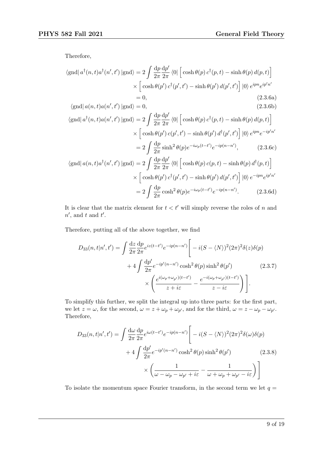Therefore,

$$
\langle \text{gnd} | a^{\dagger}(n, t) a^{\dagger}(n', t') | \text{gnd} \rangle = 2 \int \frac{dp}{2\pi} \frac{dp'}{2\pi} \langle 0 | \left[ \cosh \theta(p) c^{\dagger}(p, t) - \sinh \theta(p) d(p, t) \right] \times \left[ \cosh \theta(p') c^{\dagger}(p', t') - \sinh \theta(p') d(p', t') \right] | 0 \rangle e^{ipn} e^{ip'n'}
$$
  
= 0, (2.3.6a)  

$$
\langle \text{gnd} | a(n, t) a(n', t') | \text{gnd} \rangle = 0, \qquad (2.3.6b)
$$

$$
\langle \text{gnd} | a^{\dagger}(n, t) a(n', t') | \text{gnd} \rangle = 2 \int \frac{dp}{2\pi} \frac{dp'}{2\pi} \langle 0 | \left[ \cosh \theta(p) c^{\dagger}(p, t) - \sinh \theta(p) d(p, t) \right] \times \left[ \cosh \theta(p') c(p', t') - \sinh \theta(p') d^{\dagger}(p', t') \right] |0\rangle e^{ipn} e^{-ip'n'}
$$

$$
= 2 \int \frac{dp}{2\pi} \sinh^2 \theta(p) e^{-i\omega_p(t - t')} e^{-ip(n - n')}, \qquad (2.3.6c)
$$

$$
\langle \text{gnd} | a(n, t) a^{\dagger}(n', t') | \text{gnd} \rangle = 2 \int \frac{dp}{2\pi} \frac{dp'}{2\pi} \langle 0 | \left[ \cosh \theta(p) c(p, t) - \sinh \theta(p) d^{\dagger}(p, t) \right]
$$

$$
\text{grad}\left[a(n,t)a'(n',t')\middle|\text{gnd}\right\rangle = 2\int \frac{1}{2\pi} \frac{1}{2\pi} \langle 0 \middle| \left[\cosh\theta(p) c(p,t) - \sinh\theta(p) d'(p,t)\right] \right. \\
\times \left[\cosh\theta(p') c^{\dagger}(p',t') - \sinh\theta(p') d(p',t')\right] \left|0\right\rangle e^{-ipn} e^{ip'n'} \\
= 2\int \frac{dp}{2\pi} \cosh^2\theta(p) e^{-i\omega_p(t-t')} e^{-ip(n-n')}.\n \tag{2.3.6d}
$$

It is clear that the matrix element for  $t < t'$  will simply reverse the roles of n and  $n'$ , and t and t'.

Therefore, putting all of the above together, we find

$$
D_{33}(n,t|n',t') = \int \frac{dz}{2\pi} \frac{dp}{2\pi} e^{iz(t-t')} e^{-ip(n-n')} \left[ -i(S-\langle N \rangle)^2 (2\pi)^2 \delta(z) \delta(p) + 4 \int \frac{dp'}{2\pi} e^{-ip'(n-n')} \cosh^2 \theta(p) \sinh^2 \theta(p') \right] \times \left( \frac{e^{i(\omega_p + \omega_{p'})(t-t')}}{z+i\varepsilon} - \frac{e^{-i(\omega_p + \omega_{p'})(t-t')}}{z-i\varepsilon} \right).
$$
\n(2.3.7)

To simplify this further, we split the integral up into three parts: for the first part, we let  $z = \omega$ , for the second,  $\omega = z + \omega_p + \omega_{p'}$ , and for the third,  $\omega = z - \omega_p - \omega_{p'}$ . Therefore,

$$
D_{33}(n, t|n', t') = \int \frac{d\omega}{2\pi} \frac{dp}{2\pi} e^{i\omega(t-t')} e^{-ip(n-n')} \left[ -i(S - \langle N \rangle)^2 (2\pi)^2 \delta(\omega) \delta(p) + 4 \int \frac{dp'}{2\pi} e^{-ip'(n-n')} \cosh^2 \theta(p) \sinh^2 \theta(p') \right]
$$
(2.3.8)  

$$
\times \left( \frac{1}{\omega - \omega_p - \omega_{p'} + i\varepsilon} - \frac{1}{\omega + \omega_p + \omega_{p'} - i\varepsilon} \right)
$$

To isolate the momentum space Fourier transform, in the second term we let  $q =$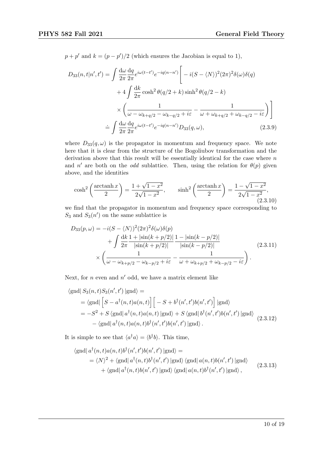$p+p'$  and  $k=(p-p')/2$  (which ensures the Jacobian is equal to 1),

$$
D_{33}(n, t|n', t') = \int \frac{d\omega}{2\pi} \frac{dq}{2\pi} e^{i\omega(t-t')} e^{-iq(n-n')} \left[ -i(S - \langle N \rangle)^2 (2\pi)^2 \delta(\omega) \delta(q) \right.
$$
  

$$
+ 4 \int \frac{dk}{2\pi} \cosh^2 \theta(q/2 + k) \sinh^2 \theta(q/2 - k)
$$
  

$$
\times \left( \frac{1}{\omega - \omega_{k+q/2} - \omega_{k-q/2} + i\varepsilon} - \frac{1}{\omega + \omega_{k+q/2} + \omega_{k-q/2} - i\varepsilon} \right) \right]
$$
  

$$
= \int \frac{d\omega}{2\pi} \frac{dq}{2\pi} e^{i\omega(t-t')} e^{-iq(n-n')} D_{33}(q, \omega), \qquad (2.3.9)
$$

where  $D_{33}(q,\omega)$  is the propagator in momentum and frequency space. We note here that it is clear from the structure of the Bogoliubov transformation and the derivation above that this result will be essentially identical for the case where  $n$ and n' are both on the *odd* sublattice. Then, using the relation for  $\theta(p)$  given above, and the identities

$$
\cosh^2\left(\frac{\operatorname{arctanh} x}{2}\right) = \frac{1 + \sqrt{1 - x^2}}{2\sqrt{1 - x^2}}, \qquad \sinh^2\left(\frac{\operatorname{arctanh} x}{2}\right) = \frac{1 - \sqrt{1 - x^2}}{2\sqrt{1 - x^2}},
$$
\n(2.3.10)

we find that the propagator in momentum and frequency space corresponding to  $S_3$  and  $S_3(n')$  on the same sublattice is

$$
D_{33}(p,\omega) = -i(S - \langle N \rangle)^2 (2\pi)^2 \delta(\omega) \delta(p) + \int \frac{dk}{2\pi} \frac{1 + |\sin(k + p/2)|}{|\sin(k + p/2)|} \frac{1 - |\sin(k - p/2)|}{|\sin(k - p/2)|} \times \left( \frac{1}{\omega - \omega_{k+p/2} - \omega_{k-p/2} + i\varepsilon} - \frac{1}{\omega + \omega_{k+p/2} + \omega_{k-p/2} - i\varepsilon} \right).
$$
(2.3.11)

Next, for  $n$  even and  $n'$  odd, we have a matrix element like

$$
\langle \text{gnd} | S_3(n, t) S_3(n', t') | \text{gnd} \rangle =
$$
  
= 
$$
\langle \text{gnd} | \left[ S - a^{\dagger}(n, t) a(n, t) \right] \left[ - S + b^{\dagger}(n', t') b(n', t') \right] | \text{gnd} \rangle
$$
  
= 
$$
-S^2 + S \langle \text{gnd} | a^{\dagger}(n, t) a(n, t) | \text{gnd} \rangle + S \langle \text{gnd} | b^{\dagger}(n', t') b(n', t') | \text{gnd} \rangle
$$
  
- 
$$
\langle \text{gnd} | a^{\dagger}(n, t) a(n, t) b^{\dagger}(n', t') b(n', t') | \text{gnd} \rangle.
$$
 (2.3.12)

It is simple to see that  $\langle a^{\dagger} a \rangle = \langle b^{\dagger} b \rangle$ . This time,

$$
\langle \text{gnd} | a^{\dagger}(n, t) a(n, t) b^{\dagger}(n', t') b(n', t') | \text{gnd} \rangle =
$$
  
\n
$$
= \langle N \rangle^{2} + \langle \text{gnd} | a^{\dagger}(n, t) b^{\dagger}(n', t') | \text{gnd} \rangle \langle \text{gnd} | a(n, t) b(n', t') | \text{gnd} \rangle
$$
  
\n
$$
+ \langle \text{gnd} | a^{\dagger}(n, t) b(n', t') | \text{gnd} \rangle \langle \text{gnd} | a(n, t) b^{\dagger}(n', t') | \text{gnd} \rangle,
$$
\n(2.3.13)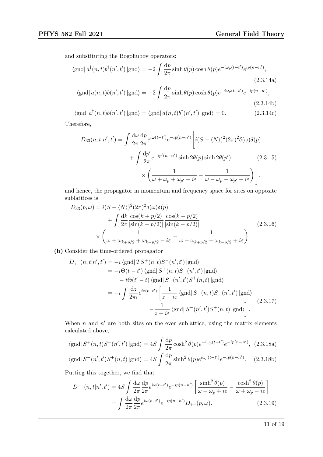and substituting the Bogoliubov operators:

$$
\langle \text{gnd} | a^{\dagger}(n,t) b^{\dagger}(n',t') | \text{gnd} \rangle = -2 \int \frac{dp}{2\pi} \sinh \theta(p) \cosh \theta(p) e^{-i\omega_p(t-t')} e^{ip(n-n')}, \tag{2.3.14a}
$$

$$
\langle \text{gnd} | a(n,t)b(n',t') | \text{gnd} \rangle = -2 \int \frac{dp}{2\pi} \sinh \theta(p) \cosh \theta(p) e^{-i\omega_p(t-t')} e^{-ip(n-n')},
$$
\n(2.3.14b)

 $\langle \text{gnd} | a^{\dagger}(n,t) b(n',t') | \text{gnd} \rangle = \langle \text{gnd} | a(n,t) b^{\dagger}(n',t') | \text{gnd} \rangle = 0.$  (2.3.14c) Therefore,

$$
D_{33}(n,t|n',t') = \int \frac{d\omega}{2\pi} \frac{dp}{2\pi} e^{i\omega(t-t')} e^{-ip(n-n')} \left[ i(S - \langle N \rangle)^2 (2\pi)^2 \delta(\omega) \delta(p) + \int \frac{dp'}{2\pi} e^{-ip'(n-n')} \sinh 2\theta(p) \sinh 2\theta(p') \right] \times \left( \frac{1}{\omega + \omega_p + \omega_{p'} - i\varepsilon} - \frac{1}{\omega - \omega_p - \omega_{p'} + i\varepsilon} \right) \Bigg],
$$

and hence, the propagator in momentum and frequency space for sites on opposite sublattices is

$$
D_{33}(p,\omega) = i(S - \langle N \rangle)^2 (2\pi)^2 \delta(\omega) \delta(p)
$$
  
+ 
$$
\int \frac{dk}{2\pi} \frac{\cos(k+p/2)}{|\sin(k+p/2)|} \frac{\cos(k-p/2)}{|\sin(k-p/2)|}
$$
  

$$
\times \left( \frac{1}{\omega + \omega_{k+p/2} + \omega_{k-p/2} - i\varepsilon} - \frac{1}{\omega - \omega_{k+p/2} - \omega_{k-p/2} + i\varepsilon} \right).
$$
 (2.3.16)

(b) Consider the time-ordered propagator

$$
D_{+-}(n,t|n',t') = -i \langle \text{gnd} | TS^{+}(n,t)S^{-}(n',t') | \text{gnd} \rangle
$$
  
\n
$$
= -i\Theta(t-t') \langle \text{gnd} | S^{+}(n,t)S^{-}(n',t') | \text{gnd} \rangle
$$
  
\n
$$
-i\Theta(t'-t) \langle \text{gnd} | S^{-}(n',t')S^{+}(n,t) | \text{gnd} \rangle
$$
  
\n
$$
= -i \int \frac{dz}{2\pi i} e^{iz(t-t')} \left[ \frac{1}{z-i\varepsilon} \langle \text{gnd} | S^{+}(n,t)S^{-}(n',t') | \text{gnd} \rangle -\frac{1}{z+i\varepsilon} \langle \text{gnd} | S^{-}(n',t')S^{+}(n,t) | \text{gnd} \rangle \right].
$$
\n(2.3.17)

When  $n$  and  $n'$  are both sites on the even sublattice, using the matrix elements calculated above,

$$
\langle \text{gnd} | S^+(n,t)S^-(n',t') | \text{gnd} \rangle = 4S \int \frac{\mathrm{d}p}{2\pi} \cosh^2 \theta(p) e^{-i\omega_p(t-t')} e^{-ip(n-n')}, \tag{2.3.18a}
$$

$$
\langle \text{gnd} | S^-(n',t')S^+(n,t) | \text{gnd} \rangle = 4S \int \frac{\mathrm{d}p}{2\pi} \sinh^2 \theta(p) e^{i\omega_p(t-t')} e^{-ip(n-n')}.
$$
 (2.3.18b)

Putting this together, we find that

$$
D_{+-}(n,t|n',t') = 4S \int \frac{d\omega}{2\pi} \frac{dp}{2\pi} e^{i\omega(t-t')} e^{-ip(n-n')} \left[ \frac{\sinh^2 \theta(p)}{\omega - \omega_p + i\varepsilon} - \frac{\cosh^2 \theta(p)}{\omega + \omega_p - i\varepsilon} \right]
$$

$$
= \int \frac{d\omega}{2\pi} \frac{dp}{2\pi} e^{i\omega(t-t')} e^{-ip(n-n')} D_{+-}(p,\omega). \tag{2.3.19}
$$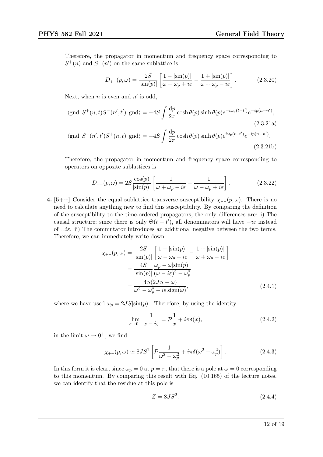Therefore, the propagator in momentum and frequency space corresponding to  $S^+(n)$  and  $S^-(n')$  on the same sublattice is

$$
D_{+-}(p,\omega) = \frac{2S}{|\sin(p)|} \left[ \frac{1 - |\sin(p)|}{\omega - \omega_p + i\varepsilon} - \frac{1 + |\sin(p)|}{\omega + \omega_p - i\varepsilon} \right].
$$
 (2.3.20)

Next, when *n* is even and  $n'$  is odd,

$$
\langle \text{gnd} | S^+(n,t)S^-(n',t') | \text{gnd} \rangle = -4S \int \frac{\mathrm{d}p}{2\pi} \cosh \theta(p) \sinh \theta(p) e^{-i\omega_p(t-t')} e^{-ip(n-n')}, \tag{2.3.21a}
$$

$$
\langle \text{gnd} | S^-(n',t')S^+(n,t) | \text{gnd} \rangle = -4S \int \frac{\mathrm{d}p}{2\pi} \cosh \theta(p) \sinh \theta(p) e^{i\omega_p(t-t')} e^{-ip(n-n')}.
$$
\n(2.3.21b)

Therefore, the propagator in momentum and frequency space corresponding to operators on opposite sublattices is

$$
D_{+-}(p,\omega) = 2S \frac{\cos(p)}{|\sin(p)|} \left[ \frac{1}{\omega + \omega_p - i\varepsilon} - \frac{1}{\omega - \omega_p + i\varepsilon} \right].
$$
 (2.3.22)

4. [5++] Consider the equal sublattice transverse susceptibility  $\chi_{+-}(p,\omega)$ . There is no need to calculate anything new to find this susceptibility. By comparing the definition of the susceptibility to the time-ordered propagators, the only differences are: i) The causal structure; since there is only  $\Theta(t-t')$ , all denominators will have  $-i\varepsilon$  instead of  $\pm i\varepsilon$ . ii) The commutator introduces an additional negative between the two terms. Therefore, we can immediately write down

$$
\chi_{+-}(p,\omega) = \frac{2S}{|\sin(p)|} \left[ \frac{1 - |\sin(p)|}{\omega - \omega_p - i\varepsilon} - \frac{1 + |\sin(p)|}{\omega + \omega_p - i\varepsilon} \right]
$$

$$
= \frac{4S}{|\sin(p)|} \frac{\omega_p - \omega |\sin(p)|}{(\omega - i\varepsilon)^2 - \omega_p^2}
$$

$$
= \frac{4S(2JS - \omega)}{\omega^2 - \omega_p^2 - i\varepsilon \operatorname{sign}(\omega)},
$$
(2.4.1)

where we have used  $\omega_p = 2JS|\sin(p)|$ . Therefore, by using the identity

$$
\lim_{\varepsilon \to 0+} \frac{1}{x - i\varepsilon} = \mathcal{P} \frac{1}{x} + i\pi \delta(x),\tag{2.4.2}
$$

in the limit  $\omega \to 0^+$ , we find

$$
\chi_{+-}(p,\omega) \simeq 8JS^2 \left[ \mathcal{P} \frac{1}{\omega^2 - \omega_p^2} + i\pi \delta(\omega^2 - \omega_p^2) \right]. \tag{2.4.3}
$$

In this form it is clear, since  $\omega_p = 0$  at  $p = \pi$ , that there is a pole at  $\omega = 0$  corresponding to this momentum. By comparing this result with Eq. (10.165) of the lecture notes, we can identify that the residue at this pole is

$$
Z = 8JS^2.\t(2.4.4)
$$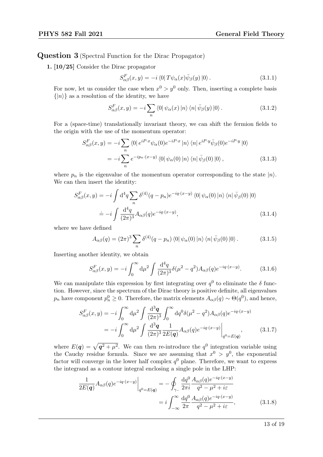### Question 3 (Spectral Function for the Dirac Propagator)

1. [10/25] Consider the Dirac propagator

$$
S_{\alpha\beta}^{F}(x,y) = -i \langle 0| T \psi_{\alpha}(x) \bar{\psi}_{\beta}(y) |0 \rangle. \tag{3.1.1}
$$

For now, let us consider the case when  $x^0 > y^0$  only. Then, inserting a complete basis  $\{|n\rangle\}$  as a resolution of the identity, we have

$$
S_{\alpha\beta}^{F}(x,y) = -i \sum_{n} \langle 0 | \psi_{\alpha}(x) | n \rangle \langle n | \bar{\psi}_{\beta}(y) | 0 \rangle. \tag{3.1.2}
$$

For a (space-time) translationally invariant theory, we can shift the fermion fields to the origin with the use of the momentum operator:

$$
S_{\alpha\beta}^{F}(x,y) = -i \sum_{n} \langle 0 | e^{iP\cdot x} \psi_{\alpha}(0) e^{-iP\cdot x} |n \rangle \langle n | e^{iP\cdot y} \bar{\psi}_{\beta}(0) e^{-iP\cdot y} |0 \rangle
$$
  
= 
$$
-i \sum_{n} e^{-ip_{n}\cdot(x-y)} \langle 0 | \psi_{\alpha}(0) |n \rangle \langle n | \bar{\psi}_{\beta}(0) |0 \rangle,
$$
 (3.1.3)

where  $p_n$  is the eigenvalue of the momentum operator corresponding to the state  $|n\rangle$ . We can then insert the identity:

$$
S_{\alpha\beta}^{F}(x,y) = -i \int d^4q \sum_n \delta^{(4)}(q-p_n)e^{-iq \cdot (x-y)} \langle 0 | \psi_{\alpha}(0) | n \rangle \langle n | \bar{\psi}_{\beta}(0) | 0 \rangle
$$
  

$$
\doteq -i \int \frac{d^4q}{(2\pi)^3} A_{\alpha\beta}(q)e^{-iq \cdot (x-y)}, \qquad (3.1.4)
$$

where we have defined

$$
A_{\alpha\beta}(q) = (2\pi)^3 \sum_n \delta^{(4)}(q - p_n) \langle 0 | \psi_\alpha(0) | n \rangle \langle n | \bar{\psi}_\beta(0) | 0 \rangle. \tag{3.1.5}
$$

Inserting another identity, we obtain

<span id="page-12-0"></span>
$$
S_{\alpha\beta}^F(x,y) = -i \int_0^\infty d\mu^2 \int \frac{d^4q}{(2\pi)^3} \delta(\mu^2 - q^2) A_{\alpha\beta}(q) e^{-iq \cdot (x-y)}.
$$
 (3.1.6)

We can manipulate this expression by first integrating over  $q<sup>0</sup>$  to eliminate the  $\delta$  function. However, since the spectrum of the Dirac theory is positive definite, all eigenvalues  $p_n$  have component  $p_n^0 \geq 0$ . Therefore, the matrix elements  $A_{\alpha\beta}(q) \sim \Theta(q^0)$ , and hence,

$$
S_{\alpha\beta}^{F}(x,y) = -i \int_0^{\infty} d\mu^2 \int \frac{d^3 \mathbf{q}}{(2\pi)^3} \int_0^{\infty} d q^0 \delta(\mu^2 - q^2) A_{\alpha\beta}(q) e^{-i q \cdot (x-y)} = -i \int_0^{\infty} d\mu^2 \int \frac{d^3 \mathbf{q}}{(2\pi)^3} \frac{1}{2E(\mathbf{q})} A_{\alpha\beta}(q) e^{-i q \cdot (x-y)} \Big|_{q^0 = E(\mathbf{q})},
$$
(3.1.7)

where  $E(q) = \sqrt{q^2 + \mu^2}$ . We can then re-introduce the  $q^0$  integration variable using the Cauchy residue formula. Since we are assuming that  $x^0 > y^0$ , the exponential factor will converge in the lower half complex  $q^0$  plane. Therefore, we want to express the integrand as a contour integral enclosing a single pole in the LHP:

$$
\frac{1}{2E(\mathbf{q})} A_{\alpha\beta}(q) e^{-iq \cdot (x-y)} \Big|_{q^0 = E(\mathbf{q})} = -\oint_{\gamma_-} \frac{\mathrm{d}q^0}{2\pi i} \frac{A_{\alpha\beta}(q) e^{-iq \cdot (x-y)}}{q^2 - \mu^2 + i\varepsilon}
$$
\n
$$
= i \int_{-\infty}^{\infty} \frac{\mathrm{d}q^0}{2\pi} \frac{A_{\alpha\beta}(q) e^{-iq \cdot (x-y)}}{q^2 - \mu^2 + i\varepsilon},\tag{3.1.8}
$$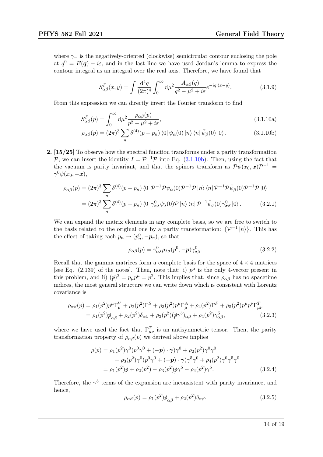where  $\gamma_-\,$  is the negatively-oriented (clockwise) semicircular contour enclosing the pole at  $q^0 = E(q) - i\varepsilon$ , and in the last line we have used Jordan's lemma to express the contour integral as an integral over the real axis. Therefore, we have found that

<span id="page-13-0"></span>
$$
S_{\alpha\beta}^{F}(x,y) = \int \frac{\mathrm{d}^4 q}{(2\pi)^4} \int_0^\infty \mathrm{d}\mu^2 \frac{A_{\alpha\beta}(q)}{q^2 - \mu^2 + i\varepsilon} e^{-iq \cdot (x-y)}.\tag{3.1.9}
$$

From this expression we can directly invert the Fourier transform to find

$$
S_{\alpha\beta}^F(p) = \int_0^\infty d\mu^2 \frac{\rho_{\alpha\beta}(p)}{p^2 - \mu^2 + i\varepsilon},\tag{3.1.10a}
$$

$$
\rho_{\alpha\beta}(p) = (2\pi)^3 \sum_n \delta^{(4)}(p - p_n) \langle 0 | \psi_\alpha(0) | n \rangle \langle n | \bar{\psi}_\beta(0) | 0 \rangle. \tag{3.1.10b}
$$

2. [15/25] To observe how the spectral function transforms under a parity transformation P, we can insert the identity  $I = \mathcal{P}^{-1} \mathcal{P}$  into Eq. [\(3.1.10b\)](#page-13-0). Then, using the fact that the vacuum is parity invariant, and that the spinors transform as  $\mathcal{P}\psi(x_0,\bm{x})\mathcal{P}^{-1} =$  $\gamma^0 \psi(x_0, -x),$ 

$$
\rho_{\alpha\beta}(p) = (2\pi)^3 \sum_{n} \delta^{(4)}(p - p_n) \langle 0 | \mathcal{P}^{-1} \mathcal{P} \psi_{\alpha}(0) \mathcal{P}^{-1} \mathcal{P} |n \rangle \langle n | \mathcal{P}^{-1} \mathcal{P} \bar{\psi}_{\beta}(0) \mathcal{P}^{-1} \mathcal{P} |0 \rangle
$$
  
=  $(2\pi)^3 \sum_{n} \delta^{(4)}(p - p_n) \langle 0 | \gamma_{\alpha\lambda}^0 \psi_{\lambda}(0) \mathcal{P} |n \rangle \langle n | \mathcal{P}^{-1} \bar{\psi}_{\sigma}(0) \gamma_{\sigma\beta}^0 |0 \rangle$ . (3.2.1)

We can expand the matrix elements in any complete basis, so we are free to switch to the basis related to the original one by a parity transformation:  $\{\mathcal{P}^{-1} | n \rangle\}$ . This has the effect of taking each  $p_n \to (p_n^0, -p_n)$ , so that

$$
\rho_{\alpha\beta}(p) = \gamma_{\alpha\lambda}^0 \rho_{\lambda\sigma}(p^0, -p) \gamma_{\sigma\beta}^0.
$$
\n(3.2.2)

Recall that the gamma matrices form a complete basis for the space of  $4 \times 4$  matrices [see Eq. (2.139) of the notes]. Then, note that: i)  $p^{\mu}$  is the only 4-vector present in this problem, and ii)  $(p)^2 = p_\mu p^\mu = p^2$ . This implies that, since  $\rho_{\alpha\beta}$  has no spacetime indices, the most general structure we can write down which is consistent with Lorentz covariance is

$$
\rho_{\alpha\beta}(p) = \rho_1(p^2)p^{\mu}\Gamma_{\mu}^V + \rho_2(p^2)\Gamma^S + \rho_3(p^2)p^{\mu}\Gamma_{\mu}^A + \rho_4(p^2)\Gamma^P + \rho_5(p^2)p^{\mu}p^{\nu}\Gamma_{\mu\nu}^T \n= \rho_1(p^2)\rlap{\,/}\psi_{\alpha\beta} + \rho_2(p^2)\delta_{\alpha\beta} + \rho_3(p^2)(\rlap{\,/}\psi\gamma^5)_{\alpha\beta} + \rho_4(p^2)\gamma^5_{\alpha\beta},
$$
\n(3.2.3)

where we have used the fact that  $\Gamma^T_{\mu\nu}$  is an antisymmetric tensor. Then, the parity transformation property of  $\rho_{\alpha\beta}(p)$  we derived above implies

$$
\rho(p) = \rho_1(p^2)\gamma^0(p^0\gamma^0 + (-p)\cdot\gamma)\gamma^0 + \rho_2(p^2)\gamma^0\gamma^0 + \rho_3(p^2)\gamma^0(p^0\gamma^0 + (-p)\cdot\gamma)\gamma^5\gamma^0 + \rho_4(p^2)\gamma^0\gamma^5\gamma^0 = \rho_1(p^2)\rlap{\,/}p + \rho_2(p^2) - \rho_3(p^2)\rlap{\,/}p\gamma^5 - \rho_4(p^2)\gamma^5.
$$
(3.2.4)

Therefore, the  $\gamma^5$  terms of the expansion are inconsistent with parity invariance, and hence,

$$
\rho_{\alpha\beta}(p) = \rho_1(p^2)\rlap/p_{\alpha\beta} + \rho_2(p^2)\delta_{\alpha\beta}.\tag{3.2.5}
$$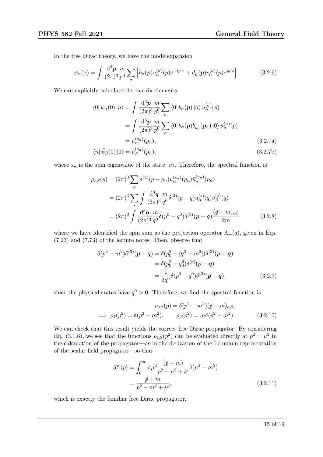In the free Dirac theory, we have the mode expansion

$$
\psi_{\alpha}(x) = \int \frac{\mathrm{d}^3 p}{(2\pi)^3} \frac{m}{p^0} \sum_{\sigma} \left[ b_{\sigma}(p) u_{\alpha}^{(\sigma)}(p) e^{-ip \cdot x} + d_{\sigma}^{\dagger}(p) v_{\alpha}^{(\sigma)}(p) e^{ip \cdot x} \right]. \tag{3.2.6}
$$

We can explicitly calculate the matrix elements:

$$
\langle 0 | \psi_{\alpha}(0) | n \rangle = \int \frac{d^3 \mathbf{p}}{(2\pi)^3} \frac{m}{p^0} \sum_{\sigma} \langle 0 | b_{\sigma}(\mathbf{p}) | n \rangle u_{\alpha}^{(\sigma)}(\mathbf{p})
$$
  
\n
$$
= \int \frac{d^3 \mathbf{p}}{(2\pi)^3} \frac{m}{p^0} \sum_{\sigma} \langle 0 | b_{\sigma}(\mathbf{p}) b_{s_n}^{\dagger}(\mathbf{p}_n) | 0 \rangle u_{\alpha}^{(\sigma)}(\mathbf{p})
$$
  
\n
$$
= u_{\alpha}^{(s_n)}(\mathbf{p}_n), \qquad (3.2.7a)
$$
  
\n
$$
\langle n | \bar{u}_{\sigma}(0) | 0 \rangle = \bar{u}_{\alpha}^{(s_n)}(\mathbf{p}_n) \qquad (3.2.7b)
$$

$$
\langle n|\bar{\psi}_{\beta}(0)|0\rangle = \bar{u}_{\beta}^{(s_n)}(p_n),\tag{3.2.7b}
$$

where  $s_n$  is the spin eigenvalue of the state  $|n\rangle$ . Therefore, the spectral function is

$$
\rho_{\alpha\beta}(p) = (2\pi)^3 \sum_{n} \delta^{(4)}(p - p_n) u_{\alpha}^{(s_n)}(p_n) \bar{u}_{\beta}^{(s_n)}(p_n)
$$
  
=  $(2\pi)^3 \sum_{s} \int \frac{d^3q}{(2\pi)^3} \frac{m}{q^0} \delta^{(4)}(p - q) u_{\alpha}^{(s)}(q) \bar{u}_{\beta}^{(s)}(q)$   
=  $(2\pi)^3 \int \frac{d^3q}{(2\pi)^3} \frac{m}{q^0} \delta(p^0 - q^0) \delta^{(3)}(p - q) \frac{(q + m)_{\alpha\beta}}{2m}$  (3.2.8)

where we have identified the spin sum as the projection operator  $\Lambda_{+}(q)$ , given in Eqs. (7.23) and (7.73) of the lecture notes. Then, observe that

$$
\delta(p^2 - m^2)\delta^{(3)}(\mathbf{p} - \mathbf{q}) = \delta(p_0^2 - [\mathbf{q}^2 + m^2])\delta^{(3)}(\mathbf{p} - \mathbf{q})
$$
  
= 
$$
\delta(p_0^2 - q_0^2)\delta^{(3)}(\mathbf{p} - \mathbf{q})
$$
  
= 
$$
\frac{1}{2q^0}\delta(p^0 - q^0)\delta^{(3)}(\mathbf{p} - \mathbf{q}),
$$
(3.2.9)

since the physical states have  $q^0 > 0$ . Therefore, we find the spectral function is

$$
\rho_{\alpha\beta}(p) = \delta(p^2 - m^2)(p \phi + m)_{\alpha\beta},
$$
  
\n
$$
\implies \rho_1(p^2) = \delta(p^2 - m^2), \qquad \rho_2(p^2) = m\delta(p^2 - m^2). \tag{3.2.10}
$$

We can check that this result yields the correct free Dirac propagator: By considering Eq. [\(3.1.6\)](#page-12-0), we see that the functions  $\rho_{1,2}(p^2)$  can be evaluated directly at  $p^2 = \mu^2$  in the calculation of the propagator—as in the derivation of the Lehmann representation of the scalar field propagator—so that

$$
S^{F}(p) = \int_0^{\infty} d\mu^2 \frac{(\not p + m)}{p^2 - \mu^2 + i\varepsilon} \delta(\mu^2 - m^2)
$$
  
= 
$$
\frac{\not p + m}{p^2 - m^2 + i\varepsilon},
$$
 (3.2.11)

which is exactly the familiar free Dirac propagator.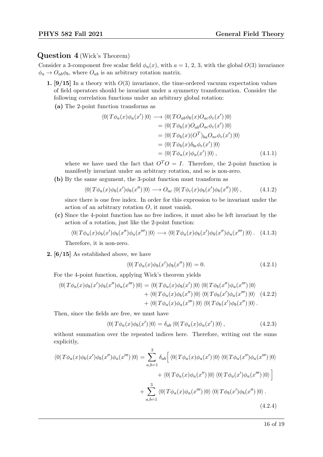### Question 4 (Wick's Theorem)

Consider a 3-component free scalar field  $\phi_a(x)$ , with  $a = 1, 2, 3$ , with the global  $O(3)$  invariance  $\phi_a \rightarrow O_{ab}\phi_b$ , where  $O_{ab}$  is an arbitrary rotation matrix.

- 1. [9/15] In a theory with  $O(3)$  invariance, the time-ordered vacuum expectation values of field operators should be invariant under a symmetry transformation. Consider the following correlation functions under an arbitrary global rotation:
	- (a) The 2-point function transforms as

$$
\langle 0|T\phi_a(x)\phi_a(x')|0\rangle \longrightarrow \langle 0|T O_{ab}\phi_b(x)O_{ac}\phi_c(x')|0\rangle
$$
  
\n
$$
= \langle 0|T\phi_b(x)O_{ab}O_{ac}\phi_c(x')|0\rangle
$$
  
\n
$$
= \langle 0|T\phi_b(x)(O^T)_{ba}O_{ac}\phi_c(x')|0\rangle
$$
  
\n
$$
= \langle 0|T\phi_b(x)\delta_{bc}\phi_c(x')|0\rangle
$$
  
\n
$$
= \langle 0|T\phi_a(x)\phi_a(x')|0\rangle, \qquad (4.1.1)
$$

where we have used the fact that  $O^T O = I$ . Therefore, the 2-point function is manifestly invariant under an arbitrary rotation, and so is non-zero.

(b) By the same argument, the 3-point function must transform as

$$
\langle 0|T\phi_a(x)\phi_b(x')\phi_b(x'')|0\rangle \longrightarrow O_{ac}\langle 0|T\phi_c(x)\phi_b(x')\phi_b(x'')|0\rangle, \qquad (4.1.2)
$$

since there is one free index. In order for this expression to be invariant under the action of an arbitrary rotation O, it must vanish.

(c) Since the 4-point function has no free indices, it must also be left invariant by the action of a rotation, just like the 2-point function:

$$
\langle 0|T\phi_a(x)\phi_b(x')\phi_b(x'')\phi_a(x''')|0\rangle \longrightarrow \langle 0|T\phi_a(x)\phi_b(x')\phi_b(x'')\phi_a(x''')|0\rangle. \quad (4.1.3)
$$

Therefore, it is non-zero.

2. [6/15] As established above, we have

$$
\langle 0|T\phi_a(x)\phi_b(x')\phi_b(x'')|0\rangle = 0.
$$
\n(4.2.1)

For the 4-point function, applying Wick's theorem yields

$$
\langle 0|T\phi_a(x)\phi_b(x')\phi_b(x'')\phi_a(x''')|0\rangle = \langle 0|T\phi_a(x)\phi_b(x')|0\rangle \langle 0|T\phi_b(x'')\phi_a(x''')|0\rangle + \langle 0|T\phi_a(x)\phi_b(x'')|0\rangle \langle 0|T\phi_b(x')\phi_a(x''')|0\rangle (4.2.2)+ \langle 0|T\phi_a(x)\phi_a(x''')|0\rangle \langle 0|T\phi_b(x')\phi_b(x'')|0\rangle.
$$

Then, since the fields are free, we must have

$$
\langle 0|T\phi_a(x)\phi_b(x')|0\rangle = \delta_{ab}\langle 0|T\phi_a(x)\phi_a(x')|0\rangle, \qquad (4.2.3)
$$

without summation over the repeated indices here. Therefore, writing out the sums explicitly,

$$
\langle 0|T\phi_a(x)\phi_b(x')\phi_b(x'')\phi_a(x''')|0\rangle = \sum_{a,b=1}^3 \delta_{ab} \Big[ \langle 0|T\phi_a(x)\phi_a(x')|0\rangle \langle 0|T\phi_a(x'')\phi_a(x''')|0\rangle + \langle 0|T\phi_a(x)\phi_a(x'')|0\rangle \langle 0|T\phi_a(x')\phi_a(x''')|0\rangle \Big] + \sum_{a,b=1}^3 \langle 0|T\phi_a(x)\phi_a(x''')|0\rangle \langle 0|T\phi_b(x')\phi_b(x'')|0\rangle.
$$
(4.2.4)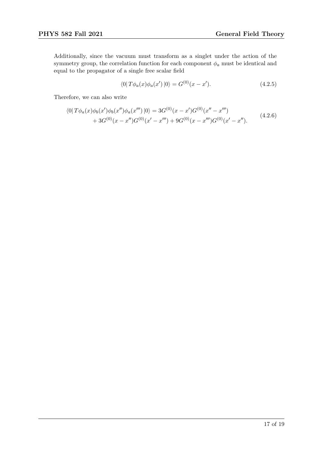Additionally, since the vacuum must transform as a singlet under the action of the symmetry group, the correlation function for each component  $\phi_a$  must be identical and equal to the propagator of a single free scalar field

$$
\langle 0|T\phi_a(x)\phi_a(x')|0\rangle = G^{(0)}(x-x'). \tag{4.2.5}
$$

Therefore, we can also write

$$
\langle 0|T\phi_a(x)\phi_b(x')\phi_b(x'')\phi_a(x''')|0\rangle = 3G^{(0)}(x-x')G^{(0)}(x''-x''')+3G^{(0)}(x-x'')G^{(0)}(x'-x''')+9G^{(0)}(x-x'')G^{(0)}(x'-x'').
$$
\n(4.2.6)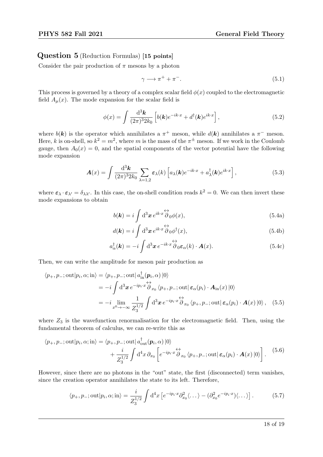## Question 5 (Reduction Formulas) [15 points]

Consider the pair production of  $\pi$  mesons by a photon

$$
\gamma \longrightarrow \pi^+ + \pi^-.
$$
\n<sup>(5.1)</sup>

This process is governed by a theory of a complex scalar field  $\phi(x)$  coupled to the electromagnetic field  $A_\mu(x)$ . The mode expansion for the scalar field is

$$
\phi(x) = \int \frac{\mathrm{d}^3 \mathbf{k}}{(2\pi)^3 2k_0} \left[ b(\mathbf{k}) e^{-ik \cdot x} + d^\dagger(\mathbf{k}) e^{ik \cdot x} \right],\tag{5.2}
$$

where  $b(\mathbf{k})$  is the operator which annihilates a  $\pi^+$  meson, while  $d(\mathbf{k})$  annihilates a  $\pi^-$  meson. Here, k is on-shell, so  $k^2 = m^2$ , where m is the mass of the  $\pi^{\pm}$  meson. If we work in the Coulomb gauge, then  $A_0(x) = 0$ , and the spatial components of the vector potential have the following mode expansion

$$
\mathbf{A}(x) = \int \frac{\mathrm{d}^3 \mathbf{k}}{(2\pi)^3 2k_0} \sum_{\lambda=1,2} \varepsilon_{\lambda}(k) \left[ a_{\lambda}(\mathbf{k}) e^{-ik \cdot x} + a_{\lambda}^{\dagger}(\mathbf{k}) e^{ik \cdot x} \right], \tag{5.3}
$$

where  $\varepsilon_{\lambda} \cdot \varepsilon_{\lambda'} = \delta_{\lambda \lambda'}$ . In this case, the on-shell condition reads  $k^2 = 0$ . We can then invert these mode expansions to obtain

$$
b(\mathbf{k}) = i \int d^3 \mathbf{x} e^{ik \cdot x} \overleftrightarrow{\partial}_0 \phi(x), \qquad (5.4a)
$$

$$
d(\mathbf{k}) = i \int d^3 \mathbf{x} e^{ik \cdot x} \overleftrightarrow{\partial}_0 \phi^\dagger(x), \tag{5.4b}
$$

$$
a_{\alpha}^{\dagger}(\mathbf{k}) = -i \int d^3 \mathbf{x} e^{-ik \cdot x} \overleftrightarrow{\partial}_{0} \varepsilon_{\alpha}(k) \cdot \mathbf{A}(x).
$$
 (5.4c)

Then, we can write the amplitude for meson pair production as

$$
\langle p_+, p_-; \text{out} | p_i, \alpha; \text{in} \rangle = \langle p_+, p_-; \text{out} | a_{\text{in}}^\dagger(\mathbf{p}_i, \alpha) | 0 \rangle
$$
  
=  $-i \int d^3 \mathbf{x} e^{-ip_i \cdot x} \overleftrightarrow{\partial}_{x_0} \langle p_+, p_-; \text{out} | \varepsilon_\alpha(p_i) \cdot \mathbf{A}_{\text{in}}(x) | 0 \rangle$   
=  $-i \lim_{x_0 \to -\infty} \frac{1}{Z_3^{1/2}} \int d^3 \mathbf{x} e^{-ip_i \cdot x} \overleftrightarrow{\partial}_{x_0} \langle p_+, p_-; \text{out} | \varepsilon_\alpha(p_i) \cdot \mathbf{A}(x) | 0 \rangle$ , (5.5)

where  $Z_3$  is the wavefunction renormalisation for the electromagnetic field. Then, using the fundamental theorem of calculus, we can re-write this as

$$
\langle p_+, p_-; \text{out} | p_i, \alpha; \text{in} \rangle = \langle p_+, p_-; \text{out} | a_{\text{out}}^\dagger(\boldsymbol{p}_i, \alpha) | 0 \rangle + \frac{i}{Z_3^{1/2}} \int d^4 x \, \partial_{x_0} \left[ e^{-ip_i \cdot x} \overleftrightarrow{\partial}_{x_0} \langle p_+, p_-; \text{out} | \boldsymbol{\varepsilon}_{\alpha}(p_i) \cdot \boldsymbol{A}(x) | 0 \rangle \right].
$$
 (5.6)

However, since there are no photons in the "out" state, the first (disconnected) term vanishes, since the creation operator annihilates the state to its left. Therefore,

$$
\langle p_+, p_-; \text{out} | p_i, \alpha; \text{in} \rangle = \frac{i}{Z_3^{1/2}} \int d^4x \left[ e^{-ip_i \cdot x} \partial_{x_0}^2 \langle \dots \rangle - (\partial_{x_0}^2 e^{-ip_i \cdot x}) \langle \dots \rangle \right]. \tag{5.7}
$$